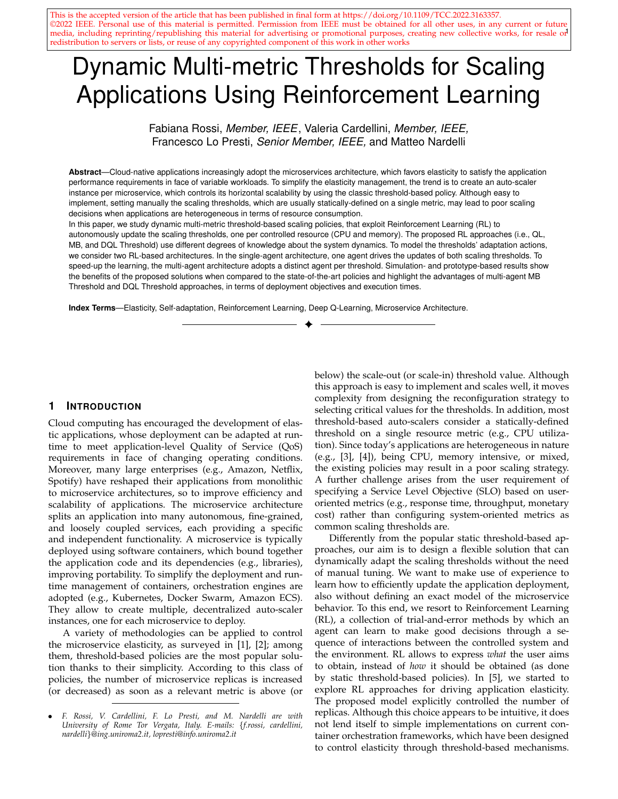media, including reprinting/republishing this material for advertising or promotional purposes, creating new collective works, for resale or This is the accepted version of the article that has been published in final form at https://doi.org/10.1109/TCC.2022.3163357. ©2022 IEEE. Personal use of this material is permitted. Permission from IEEE must be obtained for all other uses, in any current or future redistribution to servers or lists, or reuse of any copyrighted component of this work in other works

# Dynamic Multi-metric Thresholds for Scaling Applications Using Reinforcement Learning

Fabiana Rossi, *Member, IEEE*, Valeria Cardellini, *Member, IEEE,* Francesco Lo Presti, *Senior Member, IEEE,* and Matteo Nardelli

**Abstract**—Cloud-native applications increasingly adopt the microservices architecture, which favors elasticity to satisfy the application performance requirements in face of variable workloads. To simplify the elasticity management, the trend is to create an auto-scaler instance per microservice, which controls its horizontal scalability by using the classic threshold-based policy. Although easy to implement, setting manually the scaling thresholds, which are usually statically-defined on a single metric, may lead to poor scaling decisions when applications are heterogeneous in terms of resource consumption.

In this paper, we study dynamic multi-metric threshold-based scaling policies, that exploit Reinforcement Learning (RL) to autonomously update the scaling thresholds, one per controlled resource (CPU and memory). The proposed RL approaches (i.e., QL, MB, and DQL Threshold) use different degrees of knowledge about the system dynamics. To model the thresholds' adaptation actions, we consider two RL-based architectures. In the single-agent architecture, one agent drives the updates of both scaling thresholds. To speed-up the learning, the multi-agent architecture adopts a distinct agent per threshold. Simulation- and prototype-based results show the benefits of the proposed solutions when compared to the state-of-the-art policies and highlight the advantages of multi-agent MB Threshold and DQL Threshold approaches, in terms of deployment objectives and execution times.

✦

**Index Terms**—Elasticity, Self-adaptation, Reinforcement Learning, Deep Q-Learning, Microservice Architecture.

#### **1 INTRODUCTION**

Cloud computing has encouraged the development of elastic applications, whose deployment can be adapted at runtime to meet application-level Quality of Service (QoS) requirements in face of changing operating conditions. Moreover, many large enterprises (e.g., Amazon, Netflix, Spotify) have reshaped their applications from monolithic to microservice architectures, so to improve efficiency and scalability of applications. The microservice architecture splits an application into many autonomous, fine-grained, and loosely coupled services, each providing a specific and independent functionality. A microservice is typically deployed using software containers, which bound together the application code and its dependencies (e.g., libraries), improving portability. To simplify the deployment and runtime management of containers, orchestration engines are adopted (e.g., Kubernetes, Docker Swarm, Amazon ECS). They allow to create multiple, decentralized auto-scaler instances, one for each microservice to deploy.

A variety of methodologies can be applied to control the microservice elasticity, as surveyed in [1], [2]; among them, threshold-based policies are the most popular solution thanks to their simplicity. According to this class of policies, the number of microservice replicas is increased (or decreased) as soon as a relevant metric is above (or

below) the scale-out (or scale-in) threshold value. Although this approach is easy to implement and scales well, it moves complexity from designing the reconfiguration strategy to selecting critical values for the thresholds. In addition, most threshold-based auto-scalers consider a statically-defined threshold on a single resource metric (e.g., CPU utilization). Since today's applications are heterogeneous in nature (e.g., [3], [4]), being CPU, memory intensive, or mixed, the existing policies may result in a poor scaling strategy. A further challenge arises from the user requirement of specifying a Service Level Objective (SLO) based on useroriented metrics (e.g., response time, throughput, monetary cost) rather than configuring system-oriented metrics as common scaling thresholds are.

Differently from the popular static threshold-based approaches, our aim is to design a flexible solution that can dynamically adapt the scaling thresholds without the need of manual tuning. We want to make use of experience to learn how to efficiently update the application deployment, also without defining an exact model of the microservice behavior. To this end, we resort to Reinforcement Learning (RL), a collection of trial-and-error methods by which an agent can learn to make good decisions through a sequence of interactions between the controlled system and the environment. RL allows to express *what* the user aims to obtain, instead of *how* it should be obtained (as done by static threshold-based policies). In [5], we started to explore RL approaches for driving application elasticity. The proposed model explicitly controlled the number of replicas. Although this choice appears to be intuitive, it does not lend itself to simple implementations on current container orchestration frameworks, which have been designed to control elasticity through threshold-based mechanisms.

<sup>•</sup> *F. Rossi, V. Cardellini, F. Lo Presti, and M. Nardelli are with University of Rome Tor Vergata, Italy. E-mails:* {*f.rossi, cardellini, nardelli*}*@ing.uniroma2.it, lopresti@info.uniroma2.it*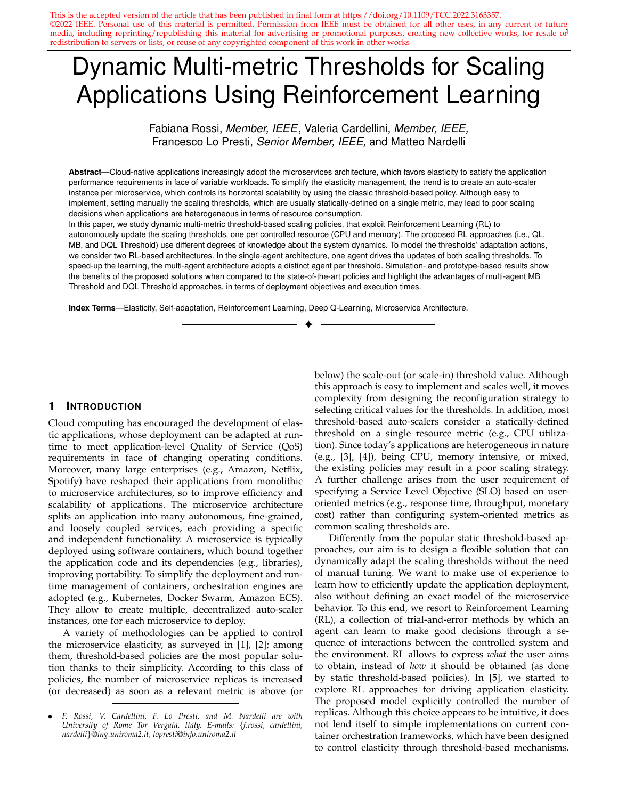Moreover, with this approach, the RL agent learns a policy that autonomously performs the scaling, which might not always result from load peaks, response time violations, or other changes in the monitored performance metrics.

In this paper, we present dynamic (or self-adaptive) threshold-based scaling policies that can automatically learn and update the values of multiple scaling thresholds, one for each metric of interest. Building on our previous work [6], where we considered only CPU utilization, we now generalize our result by proposing different approaches to control multiple metrics (i.e., CPU and memory utilization) and to reduce the policy execution time. The proposed approach moves towards the direction of an explainable scaling policy, where the RL agent learns a policy that can be intuitively understood (and constrained, as well) by means of the thresholds. Such an approach can also pave the way for the adoption of RL solutions in current systems: by letting each agent learn the correct threshold by itself, we can get past today's threshold handcrafting. First, we present a single-agent solution, where a single RL agent is in charge of updating multiple scaling thresholds. To improve RL scalability, we then design a multi-agent solution where each RL agent oversees a specific resource metric. In this general framework, we design and evaluate modelfree and model-based RL algorithms; they exploit different degrees of knowledge about the system dynamics to find a trade-off between system and user-oriented metrics (i.e., resource utilization and target response time). As modelfree policies, we propose QL Threshold and DQL Threshold, two dynamic threshold-based policies built on Q-learning and Deep Q-learning, respectively. Deep Q-learning approximates the system knowledge by using a deep neural network. Since model-free solutions can suffer from slow convergence rate, we then provide the learner with basic knowledge about its environment, so to boost the learning process. Hence, we propose MB Threshold, an approach that exploits what is known about the system dynamics to update the scaling thresholds. We have extensively evaluated the benefits of dynamic multi-threshold policies, via simulation and prototype evaluation. To this end, we have implemented all the proposed solutions into Kubernetes. Through simulations, we evaluate the proposed approaches under different deployment objectives and workloads, using real-world traces (i.e., NYC Taxi Ride and Bitbrains). Using Kubernetes, we evaluate the designed solutions in a real environment, and show the advantages of the dynamic threshold-based approach over Kubernetes' default scaling policy and two state-of-the-art solutions (i.e., [7], [8]).

The remainder of the paper is organized as follows. We discuss related works in Section 2. We then present the system model and the idea of a dynamic multi-metric threshold policy based on RL (Section 3). In Section 4, we propose the single-agent and multi-agent RL architectures, where the latter aims to simplify the policy design and reduce its execution time. Section 5 details the model-free and modelbased approaches to update the scaling thresholds. Then, we evaluate the proposed solutions in Sections 5.3 and 6 and conclude in Section 7.

# **2 RELATED WORK**

We focus on the methodologies proposed in literature for the elasticity of applications in cloud environments, considering recent works with respect to existing surveys (e.g., [1], [2]). The methodology identifies the class of algorithms used to plan the deployment adaptation so to achieve specific goals. Existing elasticity solutions rely on a broader set of methodologies, that we classify in the following categories: mathematical programming, control theory, queuing theory, machine learning, and threshold-based solutions.

Mathematical programming approaches exploit tools from operational research in order to change the microservice parallelism degree. The formulation and resolution of Integer Programming (IP) problems belongs to this category. IP formulations have been mainly used to solve the placement of application instances (e.g., [9]). However, some works consider these approaches also to address the application elasticity problem (e.g., [10], [11], [12]). For example, Rahman et al. [11] solve an optimization problem to find the target CPU utilization values (i.e., thresholds) to automatically scale microservices based on the predicted application response time. The main drawback of mathematical programming approaches is scalability: since the deployment problem is NP-hard, resolving the exact formulation may require prohibitive time as the problem size grows.

Few research works rely on control theory to scale applications. In this case, the policy usually identifies three main entities: disturbance, decision variables, and system configuration. Disturbances represent events that cannot be controlled; nevertheless, their future value can be predicted (at least in the short term), e.g., incoming data rate, load distribution, and processing time. The decision variables identify the replication of each application component. Shevtsov et al. [13] show that, although research on controltheoretical software adaptation is still in its early stages, an ever increasing number of solutions has recently consider control theory to realize self-adaptive systems (e.g., [14], [15], [16]). Baresi et al. [14] combine infrastructure and application-level adaptation using a discrete-time feedback controller. It considers the application response time as a function of the assigned CPU cores (decision variables) and the request rate (disturbance) for horizontally and vertically scaling applications. The critical point of control-theoretic approaches is the need of a good system model, which can sometimes be difficult to formulate, e.g., when the decision variables inter-play in a complex manner.

Queuing theory is often used to predict the response time of a microservice with respect to its replication degree. The key idea is to model the microservice as a queuing system with inter-arrival and service times having general statistical distributions. In general, queuing theory is well suited to determine the replication degree of microservices or predict performance (e.g., [17], [18], [19]). Nevertheless, it often requires to approximate the system behavior so to apply models from the established theory. Therefore, when the system is very complex, also the queuing theory becomes complex, discouraging its adoption.

In the last years, different research works have exploited the advances of machine learning approaches to model functions based on observed data (e.g., resource utilization,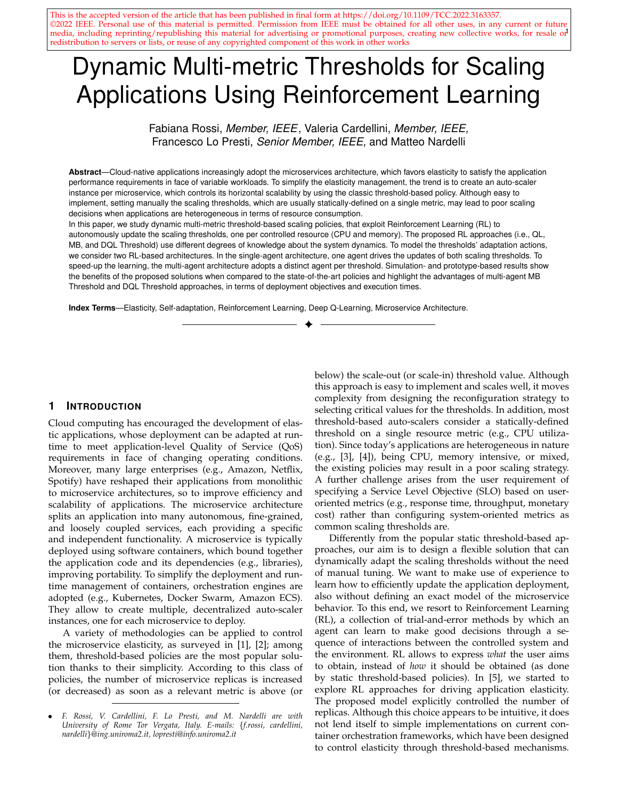application performance) or to dynamically adapt the application deployment. Islam et al. [20] utilize a combination of deep neural networks and linear regression to predict the future resource demands. To proactively scale containers in response to workload changes, Imdoukh et al. [21] use deep neural networks to learn a container elasticity policy that considers past scaling decisions and workload behavior. Yu et al. [22] propose Microscaler, a framework that relies on Bayesian Optimization and a step-by-step heuristic for the adaptive deployment of microservices-based applications. Although conceptually easy to design, machine learning techniques may suffer from two main drawbacks. First, they require reasonably large training sets. Second, they cannot easily and rapidly address unforeseen configurations.

Reinforcement Learning is a special method belonging to the branch of machine learning [23]. RL techniques can learn an adaptation policy through a trial-and-error process. After executing an action in a specific system state, the RL agent observes the cost experienced by the system, so to learn how good the performed action was. The obtained cost contributes to update the lookup table that stores the estimation of the long-term cost for each state-action pair. The RL agent must try a variety of actions and progressively favor those that appear to be the best ones. Several works have exploited RL techniques to drive elasticity in cloud computing, as surveyed in [1]. However, most of them consider model-free RL algorithms, such as Q-learning and SARSA (e.g., [8], [24], [25], [26]), which suffer from slow learning rate, as observed in [27]. To overcome this issue, different model-based RL approaches have been proposed. They use a model of the system to drive the action exploration and speed-up the learning phase. Tesauro et al. [28] combine RL with queuing network, whereas Arabnejad et al. [24] consider a fuzzy inference system to model the application performance. In [5], we propose a model-based approach that boils down to replacing the model-free equation to update the lookup table with one step of the value iteration algorithm using empirical estimates for the unknown parameters. Although model-based RL approaches can overcome the slow convergence rate of model-free solutions, they can suffer from poor scalability in systems with large state space, because the lookup table has to store a separate value for each stateaction pair. An approach to overcome this issue consists in approximating the system state or the action-value function, so that the agent can explore a reduced number of system configurations. Deep Q-learning has recently been used to approximate the system knowledge; it integrates deep neural networks into RL [29]. Thereafter, it has been widely applied in a variety of domains, e.g., container migration [30], traffic offloading [31], and device placement [32]. However, to the best of our knowledge, Deep Q-learning has been little applied in the context of elastic resource provisioning (e.g., [33], [34]).

Many solutions exploit best-effort threshold-based policies, based on the definition of static thresholds for scaling in/out microservices at run-time. Most of the research works (e.g., [35], [36]) and some Cloud service providers (e.g., Amazon, IBM) use a single threshold value for driving elasticity. Although it often works sufficiently well, most existing applications are heterogeneous in nature, implying that it is not enough considering only one aspect of resource metrics to scale. Google's Compute Engine auto-scaling supports multiple metrics and corresponding scaling rules and picks the metric that results in the largest number of virtual machines (VMs) [37]. In the context of microservices, few works [7], [38] take into account CPU, memory, and network utilization to adapt at run-time the application deployment. In particular, HyScale [7] is a threshold-based auto-scaler that considers CPU and memory utilization. Although threshold-based scaling is easy to implement, it is a best-effort approach that provides no guarantees about the reconfiguration optimality. Furthermore, selecting the threshold values can be challenging, especially in case of multiple metrics.

To overcome such a manual setting of thresholds, selfadaptive (or dynamic) threshold-based policies have been proposed in different contexts, e.g., performance management, VM consolidation (e.g., [8], [39], [40]). To the best of our knowledge, they have been scarcely applied for scaling applications (e.g., [6], [8]). Horovitz et al. [8] rely on Qlearning and a heuristic to automatically learn and adapt the scaling thresholds. Nevertheless, they consider only homogeneous microservices and a single scaling metric. In [6], we propose a two-layered hierarchical solution to control the elasticity of microservice applications. Having a global knowledge of the application, a high-level centralized entity coordinates the microservices' scaling decisions (global policy). At low level, decentralized entities locally control the adaptation of single microservices using RL (local policy). However, only CPU-bound applications are considered and an analysis on the local policy scalability is missing. We believe that microservices heterogeneity and time required to promptly react to sudden workload changes are critical factors in a dynamic environment. This paper extends [6] by focusing on local scaling policies. Differently from all the above works, we propose a dynamic and multi-metric threshold-based policy that relies on RL to set the thresholds values. To improve the RL scalability when the number of scaling thresholds increases, we investigate two different solutions: first, we integrate deep neural networks into RL; then, we evaluate a multi-agent approach. For our prototype-based experiments, we use HyScale [7], the policy by Horovitz et al. [8], and the Kubernetes' threshold-based policy as baselines to compare against our approach.

#### **3 SELF-ADAPTIVE THRESHOLD-BASED POLICY**

In this section, first we present the elasticity problem when heterogeneous microservices are considered. Then, we formally introduce the basic concepts of RL and illustrate how to use RL to adapt the scaling thresholds at run-time.

#### **3.1 Problem Definition and System Model**

We consider a general microservice model, where a microservice is a black-box entity that carries out a specific task (e.g., performs computation, accesses data sets). To efficiently handle varying workloads and meet QoS requirements, the amount of computing resources granted to the microservice should be dynamically adjusted. To this end, we can exploit horizontal elasticity which allows to increase (scale-out) and decrease (scale-in) the number of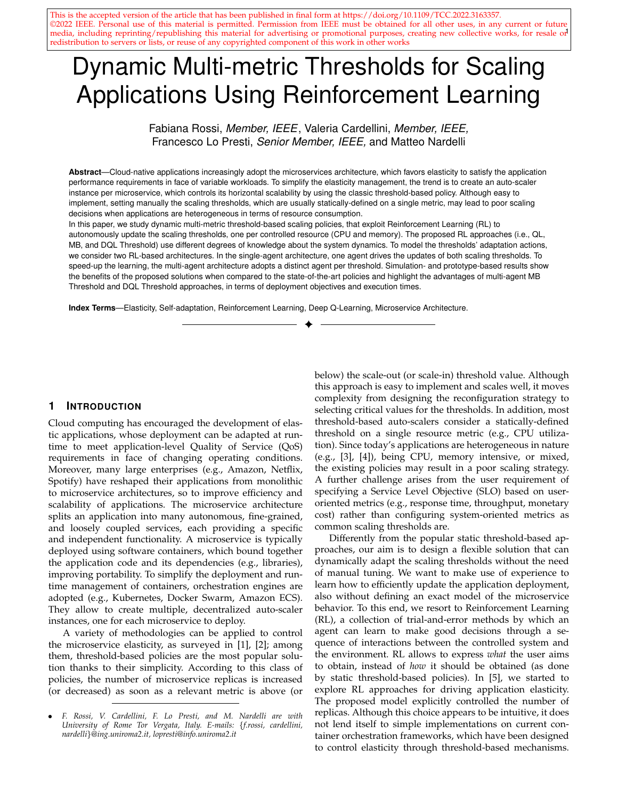microservice replicas according to a deployment policy. The latter should properly drive the microservice elasticity so to guarantee the desirable performance, while minimizing the monetary cost. In this work, we consider latency-sensitive microservices that expose a SLO defined as target response time that should not be exceeded (i.e.,  $T_{\text{max}}$ ). By exploiting horizontal elasticity, microservice replicas can process incoming requests in parallel, thus reducing the per-replica load and, in turn, the processing latency.

To manage the microservices auto-scaling over time, we need a deployment controller (or auto-scaler) that provides self-adaptation mechanisms and can be equipped with deployment policies. Today's cloud providers that support multi-component applications allow to create multiple, decentralized auto-scaler instances, each carrying out the adaptation of a single microservice deployment. By periodically analyzing the collected data about the microservice and the execution environment, the auto-scaler determines whether the microservice deployment should be changed. To determine the microservice scaling actions, most of the existing auto-scalers rely on a static threshold-based policy, where the scaling threshold is usually set on a specific resource metric (i.e., CPU or memory). Despite its simplicity, the use of single metric might not be well suited for all the scenarios, e.g., applying CPU utilization to scale a memorybound microservice, since in this case the microservice performance is expected to be determined by the memory usage rather than the CPU utilization. To address this issue, we define one scaling threshold for each relevant metric and, for the sake of simplicity, consider CPU utilization and memory usage. We define as  $U$  the microservice CPU utilization and as  $r$  the amount of used memory. These metrics are defined as the ratio between the monitored resource demand and the amount of assigned resource to the microservice. A microservice cannot use more resources than the configured limit. We introduce the CPU and memory scale-out thresholds, denoted as  $\mu$  and  $\tau$  respectively, and the CPU and memory scale-in thresholds, as  $\frac{in}{u}$  and  $_{r}^{\text{in}}$ . To simplify the setting of multiple scaling thresholds, we design a dynamic threshold-based scaling policy that automatically learns and updates their values using RL.

#### **3.2 Reinforcement Learning-based Policy**

RL is a machine learning technique where an agent learns the optimal policy through direct interaction with the system. There are three basic concepts in RL: *state*, *action*, and *cost*. The state describes a system configuration. The action is what a RL agent can do in a given state. The cost is an immediate feedback that a RL agent receives when it performs an action in a state. Intuitively, the cost allows the RL agent to discriminate between good and bad system configurations and actions. A RL agent aims to learn an optimal adaptation strategy (i.e., state-action mapping), so to minimize a discounted cost over an infinite horizon.

To update the scaling thresholds, we consider that the RL agents interact with the microservices in discrete time steps. Learning by experience, a RL agent estimates the relationship between application and system-oriented metrics, and accordingly adapts the scale-out thresholds (i.e.,  $\mu$  and  $r$ ). In this work, we do not dynamically update the scale-in



Fig. 1. High-level overview of the single-agent and multi-agent solution.

thresholds (i.e.,  $\frac{in}{u}$  and  $\frac{in}{r}$ ); nevertheless, our approach can be easily extended to account for them. We denote by S the set of all the microservice states. We model a microservice state as a tuple of  $N$  relevant features. Unlike most of the literature where the state considers the number of replicas  $(e.g., [5], [24], [28])$ , we define it in terms of thresholds; this choice is specifically tailored for existing orchestrators and thus is better suited for ease of integration with them. For each state s 2 S, we have a set of *feasible* adaptation actions  $A(s)$  A, where A is the set of all actions. At each time step, the agent observes the microservice state  $s \geq S$  and, according to an action selection policy, performs an action  $a \nightharpoonup A(s)$  to update the scaling threshold. One time step later, the microservice transits in a new state  $s^{\theta}$  2 S, experiencing the payment of an immediate cost  $c(s; a; s^0)$   $\geq R$ . Both the paid cost and the next state transition are stochastic, because they usually depend on external unknown factors. In our model, the RL agent wants to minimize the cost so to jointly satisfy microservice performance and limit resource wastage. We model the cost function so to include two different contributions: the performance penalty  $c_{\text{perf}}$  and the resource monetary cost  $c_{res}$ . The performance penalty takes into account performance degradation while the monetary cost accounts for resource wastage. Formally, we define the immediate cost function  $c(s; a; s^{\bar{\emptyset}})$  as a weighted sum of the normalized costs:

$$
c(s; a; s^0) = w_{\text{perf}} c_{\text{perf}}(s; a; s^0) + w_{\text{res}} c_{\text{res}}(s; a; s^0) (1)
$$

where  $W_{\text{perf}}$  and  $W_{\text{res}}$ ,  $W_{\text{perf}} + W_{\text{res}} = 1$ , are non-negative weights that allow us to express the relative importance of each cost term. By observing the incurred immediate cost, the agent updates and estimates the so-called Q-function, thus improving the threshold update policy. The Q-function consists in  $Q(s; a)$  terms, which represent the expected longterm cost that follows the execution of action  $\partial$  in state S. So, it drives the scaling threshold updates.

Figure 1 presents a high-level overview of the two different approaches we propose to support multiple scaling thresholds, with one threshold for each relevant performance metric (i.e., CPU and memory). First, we consider a *single-agent* architecture, where a single RL agent updates the scaling thresholds by taking into account the estimated contribution of multiple metrics to the application performance (Section 4.1). Then, we present a *multi-agent* architecture, which defines multiple RL agents where each oversees the threshold on a specific resource metric (Section 4.2).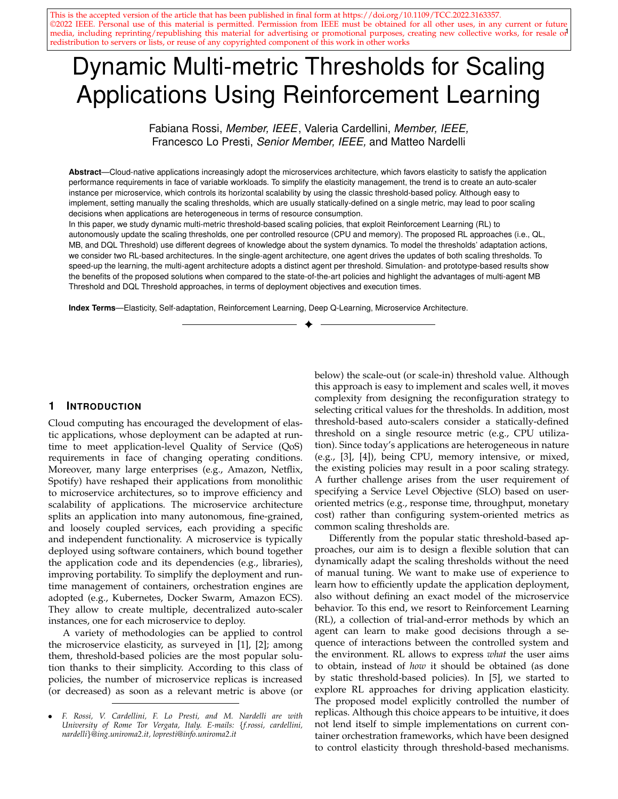# **4 RL-BASED ARCHITECTURES**

In this section, we present the single and multi-agent architectures, which use different state and action models for driving the scale-out thresholds updates. For both approaches, the Q-function is updated using three different RL methods (Q-learning, Model-based, and Deep Q-learning), as described in Section 5.

## **4.1 Single-agent RL**

The single-agent (SA) architecture uses a single RL agent per microservice to control the scale-out thresholds for the two performance metrics, i.e., CPU and memory utilization. We believe this is the most intuitive approach, especially if we consider the RL agent as a black-box entity that will eventually learn a suitable threshold update strategy.

**State**. For the monitored microservice, at time *i*, we define its state as  $S_i = (u_i, u_i, v_i, r)$ , where u is the CPU utilization,  $r$  is the memory utilization, and  $r_{\rm u}$  and are the corresponding scale-out thresholds. Being the CPU utilization,  $u$ , a real number in [0;1], we discretize it by assuming that  $u \geq \theta$ ;  $u$ ; :::;  $L_u u g$ , where  $u$  is a suitable quantum and  $L_u$  2 N such that  $L_u u = 1$ . Similarly, we discretize the memory utilization  $r \nightharpoonup \mathcal{D}$ ;  $r$ ; :::;  $L_r r$ g, where r is a suitable quantum and  $L_r$  2 N such that  $L_r$  = 1. We also assume that  $|_{U}$  and  $|_{V}$  range in the interval  $[ - \frac{1}{2} m m \dot{m} \dot{m}$  and  $|_{H}$ with  $0 < \min_{\text{min}} \max_{\text{max}} < 1$ .

**Action.** In a state s, the RL agent identifies the threshold adaptation action to be performed. We propose an action model that consists of  $A = f u^2 + f u^2$ ,  $v^2 + g^2$ , where u,  $r \n\geq (0, 1)$  are suitable threshold quanta. In particular,  $a = 0$ is the *do nothing* decision, whereas  $u$  (or  $r$ ) represents a threshold adaptation action:  $+$   $_{U}$  (or  $+$   $_{r}$ ) to add a CPU (or memory) threshold quantum and  $_{U}$  (or  $_{r}$ ) to decrease memory) threshold quantum and by a threshold quantum. We observe that the number of microservice states  $\frac{1}{5}$  depends also on the threshold quanta values:  $\sqrt{5}$  = (L<sub>u</sub> + 1) (L<sub>r</sub> + 1) ( $\frac{max}{\sqrt{1}}$  + 1) ( $\frac{max}{\sqrt{1}}$  + 1).

Cost. To each triple  $(s, a, s)$  we associate an immediate cost function  $c(s; a; s^0)$ , which combines the performance  $c_{\text{perf}}$  and resource cost  $c_{\text{res}}$  as in (1). This cost is aimed to provide a feedback to the RL agent during the learning stages. In a single-agent setting, the scaling threshold update depends on multiple system-oriented metrics. For this reason, we distinguish two contributions for the performance penalty: the former is related to CPU resource, the latter to memory resource. The CPU performance penalty  $c_{\text{perf}}$  is paid whenever the microservice response time t approaches (or exceeds) the SLO response time  $T_{\text{max}}$ , because higher CPU utilization causes higher response times (e.g., see [41], [42]). Similarly, the memory performance penalty  $C_{\text{perf},r}$  is paid when the used memory d exceeds the assigned memory m. In this case, the microservice incurs in an out-ofmemory exception, which causes performance penalties and possibly data loss in real applications. We have:

$$
C_{\text{perf};u}(S; a; s^{\emptyset}) = \begin{cases} e^{\frac{t^{\emptyset} - T_{\text{max}}}{T_{\text{max}}}} & t^{\emptyset} - T_{\text{max}} \\ 1 & \text{otherwise} \\ e^{\frac{a^{\emptyset} - m^{\emptyset}}{m^{\emptyset}}} & t^{\emptyset} - m^{\emptyset} \\ 1 & \text{otherwise} \end{cases}
$$
 (2)

being a constant that determines the exponential function steepness,  $t^{\beta}$ ,  $d^{\beta}$ , and  $m^{\beta}$  the microservice response time, the used memory, and the assigned memory, respectively, in  $S^0$ . The received cost grows faster as the monitored metric approaches its target value. Since the critical resource drives the thresholds update, we compute  $c_{\text{perf}}$  = max  $\hat{c}_{\text{perf}}$ ;  $c_{\text{perf}}$ ;  $\hat{c}_{\text{perf}}$ . Also for the resource cost, we distinguish two different contributions,  $C_{res,U}$  for CPU utilization and  $c_{res,r}$  for memory usage. For each metric, we can reasonable assume that the resource cost increases when the scale-out threshold decreases, because the lower the scaleout threshold, the higher the number of used resources. Formally, we define  $C_{res;U}$  and  $C_{res;T}$  as:

$$
C_{\text{res},U}(S; a; s^0) = e^{\frac{\min \theta}{\min \theta}}C_{\text{res},r}(S; a; s^0) = e^{\frac{\min \theta}{\min \theta}} \tag{3}
$$

being a constant that determines the exponential function steepness,  $\int_{u}^{\theta}$  and  $\int_{r}^{\theta}$  the scale-out thresholds in  $S^{\theta}$ . The exponential function allows the performance and resource cost to have the same dynamics, making them more easily comparable with one another. Note that the resource cost does not explicitly consider resource usage, which is not accounted for in our microservice state s; this relates to the cost definition as known and unknown cost (as will be presented in Section 5.2). Defining  $c_{res}$  as a function of the threshold, which is explicitly accounted for in the system state s, allows us to consider it as a known cost, thus reducing the amount of unknown cost to be estimated through experience. This approximation improves the learning process for model-based solutions. At each discrete time step, we set  $c_{res} = \max f c_{res, u}$ ;  $c_{res, r}g$ . By observing the incurred immediate costs, the Q-function is updated over time, thus improving the threshold update policy.

#### **4.2 Multi-agent RL**

The multi-agent (MA) approach is a solution for improving the scalability of an agent that needs to control multiple metrics. It uses simplifying assumptions leading to independent RL agents for each monitored metric that exploit a more compact state space. We use a RL agent for updating the CPU threshold, referred as  $u$ -agent, and a RL agent to update the memory threshold, referred as r-agent. These agents operate in parallel to update the scaling thresholds.

**State.** For the *u*-agent, we define  $s = (u, u)$ , where u is the CPU utilization scale-out threshold, and  $u$  is the CPU utilization. In this case, the state space cardinality is  $|S|$  =  $(L_{\rm u} + 1)$   $\left(\frac{\text{max}}{\mu} + 1\right)$ . Similarly, for the *r*-agent, *s* =  $\left(\frac{\text{r}}{\text{r}}\right)$ , where  $\overrightarrow{r}$  is the memory utilization scale-out threshold and  $r$  is the amount of used memory.

**Action.** For both the agents, we propose an action model that consists of  $A = f$ ; 0; g, where  $2 (0, 1)$  is a threshold quantum to add or subtract to the managed threshold.

**Cost**. The execution of  $a$  in  $s$  leads to the transition in a new microservice state  $s^{\theta}$  and to the payment of an immediate cost. We define the immediate cost  $c(s; a; s^0)$  as a weighted sum of  $C_{\text{perf}}$  and  $C_{\text{res}}$ , according to (1). The  $U$ agent defines  $C_{\text{perf}}$  as  $C_{\text{perf,u}}$  of (2) and  $C_{\text{res}}$  as  $C_{\text{res,u}}$  of (3). Similarly, the r-agent defines  $C_{\text{perf}}$  as  $C_{\text{perf}}$ , r and  $C_{\text{res}}$  as  $C_{\text{res}}$ , r. The observed immediate cost allows each agent to update its Q-function over time.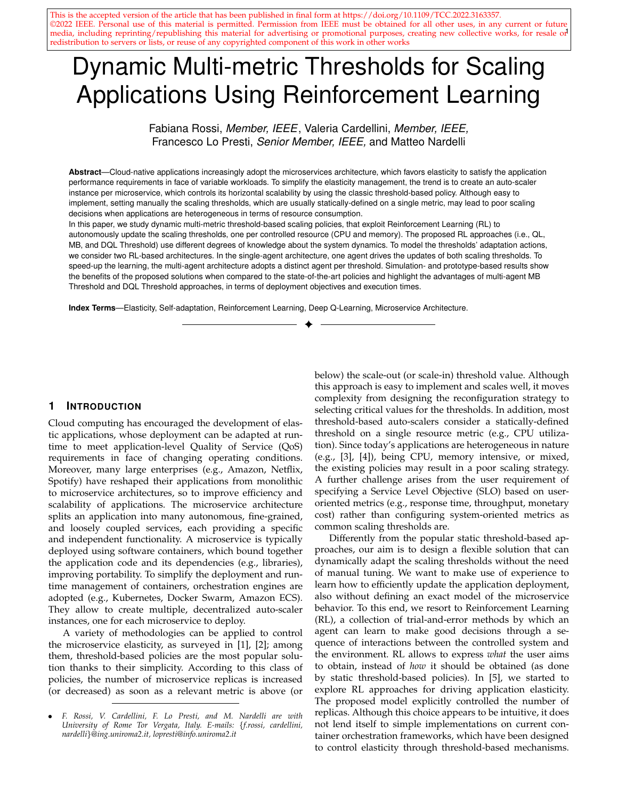# **5 Q-FUNCTION UPDATE STRATEGIES**

Existing RL policies range from model-free to model-based solutions, according to the degree of system knowledge exploited to approximate the system behavior [23]. A modelfree solution requires no a-priori knowledge of the system dynamics, which are learnt over time by interaction with the system. A model-free RL agent must prefer actions that it found to be effective in the past (*exploitation*). However, to discover such actions, it has to explore new actions (*exploration*). One of the main challenges of model-free RL agents is to find a good trade-off between exploration and exploitation. Differently, a model-based technique enriches the RL agent with a model of the system, which drives the exploration actions and speeds up the learning phase. As a downside, it may limit the agent scalability. We consider three different RL methods that differ on how they estimate and update the Q-function. First, we consider the simple model-free Q-learning algorithm. Then, we present a modelbased approach, which exploits the known (or estimated) system dynamics to accordingly update the Q-function. Both these learning solutions explicitly use a  $JSj$   $jAj$  table (i.e., Q-table) to store the Q-value for each state-action pair. The Q-table allows to store the real experience without approximation. However, this approach may suffer from slow convergence rate when the number of state-action pairs increases. To tackle this issue, we also present a Deep Q-learning approach that combines Q-learning with deep neural networks. The neural network allows to approximate the Q-function using a non-linear function; in such a way, the RL agent can explore a reduced number of system configurations before learning a good adaptation policy.

#### **5.1 Q-learning Threshold (QL Threshold)**

In QL Threshold, the RL agent uses the model-free Qlearning to update the scaling threshold. At time *i*, the Qlearning agent selects action  $a_i$  to perform in state  $s_i$  using an -greedy policy on  $Q(s_i; a_i)$ ; the microservice transits in  $S_{i+1}$  and experiences an immediate cost  $C_i$ . The -greedy policy selects the best known action for a particular state (i.e.,  $a_i = argmin_{a \ge A(s_i)} Q(s_i; a)$ ) with probability 1, whereas it favors the exploration of sub-optimal actions with low probability, . At the end of each time slot *i*,  $Q(s_i; a_i)$  is updated in  $O(1)$  using a weighted average:

$$
Q(s_i; a_i)
$$
 (1)  $Q(s_i; a_i) + c_i + \min_{a^0 \ge A(s_{i+1})} Q(s_{i+1}; a^0)$ 

where  $2[0,1]$  is the *learning rate* parameter and  $2[0,1]$ is the *discount factor*.

### **5.2 Model-Based Threshold (MB Threshold)**

MB Threshold builds on a model-based RL agent to update the scaling threshold. A model-based RL agent exploits a system model to speed up the learning phase. Differently from model-free solutions, it does not use an action selection policy, but it always selects the best action in terms of Qvalue, i.e., at time *i*,  $a_i = argmin_{a \ge A(s_i)} Q(s_i; a)$ . Moreover, the model-based RL approach replaces the model-free equation to update the Q-function with the Bellman equation:

$$
=\begin{matrix}X\\=\rho(s^{\theta}/s;a)&c(s;a;s^{\theta})+\min\limits_{a^{\theta}2A(s^{\theta})}Q(s^{\theta};a^{\theta})&\substack{8s2S;\\8a2A(s)}\end{matrix}
$$

(4) where we use estimations for the unknown parameters of the transition probabilities  $p(s^{\theta}/s; a)$  and the cost function  $c(s; a; s^{\theta})$ ,  $8s; \overline{s^{\theta}} \supseteq S$ . Iterating over all states, actions, and next states, the update is performed in  $O(|S)^2/A$ ). At time *i*, we estimate  $p(s^0/s; a)$  as the relative number of times the system transits from state  $S$  to  $S^0$  given action  $\partial$  in the time interval  $f1$ ; : : ; ig. To better explain how to estimate  $p(s^j | s; a)$ , we consider the *u*-agent of the multi-agent. We estimate  $p(s^{\theta}/s; a)$  as the relative number of times the CPU utilization changes from state  $U$  to  $U^f$ , given  $\partial$ , in the time interval  $f1$ ; :::: ig. Similar arguments apply for the RL agents that resort on a different system state definition.

 $Q(s; a)$ 

For the estimates of the immediate cost  $c(s; a; s^0)$ , we observe that it can be written as the sum of two terms, respectively named as the known and the unknown cost:

$$
c(s; a; s^0) = c_k(s; a) + c_u(s^0)
$$
 (5)

The *known cost*  $c_k(s/a)$  depends on the current state and action; in our case, it accounts for resource costs. The  $unknown\ cost\ \mathcal C_{\mathcal U}(\mathcal S^{\emptyset})$  depends on the next state  $\mathcal S^{\emptyset}$ ; it accounts for the performance penalty (1). As we assume that the application model is not known, we have to estimate  $c_u(s^0)$ at run-time. Therefore, at time  $i$ , the RL agent observes the immediate cost  $c_i$ , computes  $c_{u,i}(s^0) = c_i \quad c_{k,i}(s; a)$ , and updates the estimate of the unknown cost  $\hat{c}_{u,i}(s^{\emptyset})$  as:

> $\hat{c}_{u;i}(s^{\emptyset})$  (1 ) $\hat{c}_{u;i-1}(s^{\emptyset})+c_{u;i}(s^{\emptyset})$ ) (6)

where  $2$  [0;1] is the *smoothing factor*.  $\mathcal{C}_{u,i}(s^0)$  is then used to compute the cost of applying  $\alpha$  in  $\beta$  according to (5).

For the estimates of the unknown cost, given a state S and the next state  $s^{\beta}$ , we observe that the expected performance penalty is not lower when the scale-out threshold or the resource utilization increases. Vice versa is also true. Considering the u-agent of the multi-agent solution, to speed-up the learning phase, we can heuristically enforce the following properties while updating  $\hat{c}_{u,i}(s)$ , 8s 2 S:

$$
\begin{array}{llll}\n\mathcal{E}_{U,i}(s) & \mathcal{E}_{U,i}(s^0) & \mathcal{B}_{U} & \mathcal{G}'U & U^0 \\
\mathcal{E}_{U,i}(s) & \mathcal{E}_{U,i}(s^0) & \mathcal{B}_{U} & \mathcal{G}'U & U^0\n\end{array}
$$

Similar arguments apply to the other state definitions.

#### **5.3 Deep Q-learning Threshold (DQL Threshold)**

Deep Q-learning (DQL) Threshold is a Q-learning algorithm that uses a multi-layered neural network to approximate the Q-function. So, the network is also called Q-network. For a state space S and an action space A containing  $|A|$ actions, the Q-network is a parametrized function from  $R^N$ to  $R^{jA}$ . In a given state *s*, the Q-network outputs a vector of action values  $Q(s; ; \cdot)$ , where are the network parameters. At each discrete time step *i*, the RL agent performs an action  $a$  in the state  $s$ , so the microservice transits in  $S^{\ell}$  and observes the immediate cost  $\ell$ . At this point, the Qnetwork is updated by performing a gradient-descent step on  $(y_i \quad Q(s; a; i))^2$  with respect to the network parameters  $i$ , where  $y_i$  is the estimated long-term cost, defined as  $y_i = c + min_{a^0}Q(s^0; a^0; i)$ . When only the current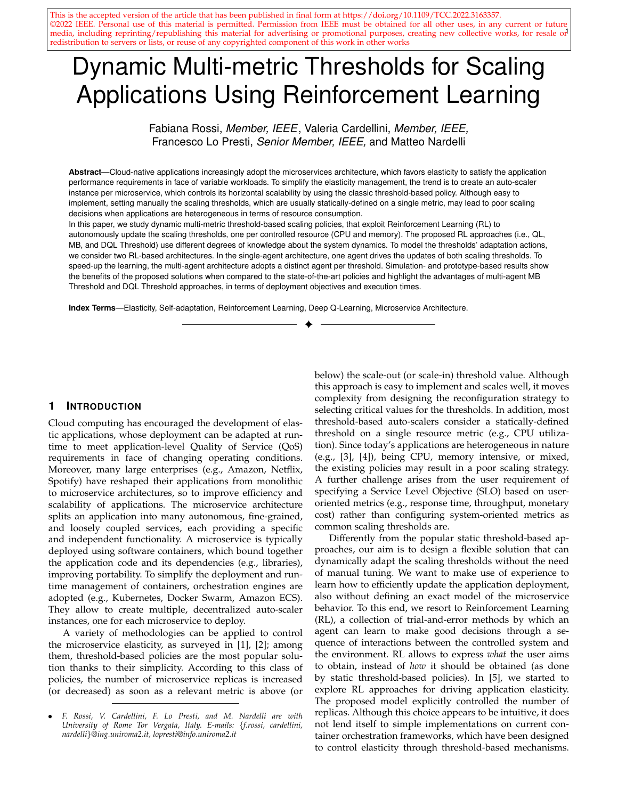experience (i.e.,  $(s; a; c; s^{0})$ ) is considered, this approach is too slow for practical real scenarios. Moreover, it is unstable due to correlations existing in the sequence of observations. To overcome these issues, Mnih et al. [29] revised the classic DQL algorithm introducing two major changes: the use of a replay buffer and a separate target network to compute  $y_i$ . At run-time, the DQL agent observes the application state and selects an adaptation action using the estimates of Q-values, as Q-learning does. To perform experience replay, at each time step  $i$ , the agent stores its experience  $e_i = (s_i, a_i, c_i, s_{i+1})$  in a buffer  $D_i$  with finite capacity. At the end of the time step i, DQL resorts on samples (or minibatches) of the experience  $(s, a, c, s^0)$  $U(D_i)$  to simulate the interaction between the service and the environment, and accordingly update the Q-network. The mini-batch of experience  $U(D_i)$  is drawn uniformly at random from the pool of samples  $D_i$  to remove correlations in the observation sequence and to smooth over changes in the data distribution. In standard DQL, the same Q-network is used both to select and to evaluate an action. This makes it more likely to select overestimated values, resulting in overoptimistic estimates. To prevent this, we decouple the action selection from its evaluation. In this approach, two networks are used (online and target network) and two value functions are learned. This results in two sets of weights, and , where the first is used to determine the greedy policy and the second to determine its value. At iteration *i*, the Q-network update uses the following loss function: a repulsy buffer and a separate large in the properties to compute the computer of to compute the estimates of Cyclustos as a Q-learning the estimates  $\sigma_0$  2 we<br>of Cyclustos, as C-learning does. To perform experience  $\$ 

$$
L(\ )=\frac{X}{U(D_i)}(c+ min_{a^0}Q(s^0; a^0; \ )\ Q(s; a; \ )^2 (7)
$$

where  $2(0, 1)$  is the discount factor,  $\mu$  are the online Q-network parameters at iteration  $i$ , and  $i$  are the target network parameters at iteration  $i$ . The  $i$  parameters are updated to the  $\beta$  values only every steps and are held fixed between individual updates. The loss function is optimized by stochastic gradient descent; its computational complexity depends on the neural network structure.

Note that DQL is model-free: it solves the RL task directly using samples, without explicitly estimating the cost function and the transition probabilities. It is also offpolicy, because it learns a policy that is different from the policy used for action selection, which ensures adequate exploration of the state space. We resort to an -greedy policy as action selection policy.

We evaluate the proposed solutions using simulation experiments. We show the flexibility of the RL-based approaches under different cost function configurations (Section 5.5). Then, we compare the multi-agent approach against the single-agent one (Section 5.6). In Section 5.7, we generalize the evaluation by considering different workloads.

# **5.4 Experimental Setup**

We consider a reference microservice application modeled as an M/M/ $k_i$  queue, where  $k_i$  is the number of microservice replicas at time step i. Each microservice replica has a service rate of 120 requests/s; the SLO requires the application response time to be at most  $T_{\text{max}} = 12$  ms.<br>The scale-in threshold is set to 20% of CPU and memory



Fig. 2. Workload based on NYC Taxi Ride traces.

utilization, whereas the scale-out threshold can range between  $_{min}$  = 50% and  $_{max}$  = 90%. The RL algorithms use the following parameters:  $= 0.1$  (QL Threshold),  $= 0.1$  (MB Threshold), and discount factor  $= 0.99$ . The discount factor , being close to 1, allows the RL agent to act with foresight, while the smoothing factors and enable to adapt the learned policies to (possibly) varying system dynamics. We discretize the application state with  $u = r = 0.1$ , and we set the threshold adaptation quantum to  $= 5\%$ . The cost function parameters are  $= 10$  and  $=$   $\frac{1}{\text{max}}$ ; they result from preliminary evaluations, where we wanted the two cost contributions to range in the same interval. To update the threshold, QL and DQL Threshold use an -greedy action selection policy, with  $= 0.1$ . DQL uses a replay memory with capacity of 50 observations and a batch size of 30; the target Q-network update frequency  $is = 5$  time units. Configuring correctly the Q-network is an empirical task, which required some effort and several preliminary evaluations [29]. We implement the neural network using Deeplearning4j [43]. In particular, we use the rectified linear function as neuron activation function: due to its non-linear behavior, it is one of the most commonly used functions. To initialize the Q-network weights, we use the Xavier method [44]. To avoid weights to diminish or explode during network propagation, this method scales the weight distribution on a layer-by-layer basis. As regard the Q-network architecture, we select two distinct configurations for the single-agent and the multi-agent. The singleagent DQL Threshold uses a Q-network architecture that is fully-connected with 5 layers with  $f4/12/12/15/3g$  neurons. The multi-agent uses a neural network with 4 layers with f4; 12; 12; 3g neurons.

## **5.5 Optimization Objectives**

This first set of experiments aims to show the flexibility of RL-based solutions to dynamically adapt the scaling thresholds. As shown in [6], a static threshold-based policy suffers from lack of flexibility and SLO unawareness, because it is not easy to satisfy a user-oriented SLO by setting thresholds on a system-oriented metric. This task is even more challenging when we consider multiple scaling metrics. Conversely, in the proposed approach, dynamic thresholds can be trained to optimize different deployment objectives, i.e., minimize  $T_{\text{max}}$  violations, the average number of replicas, or their combination. We consider that the application receives an incoming request rate that varies over time (see Fig. 2). It is a surrogate workload based on NYC Taxi Ride traces [45], where CPU and memory demand have a similar trend, so both can trigger scaling decisions.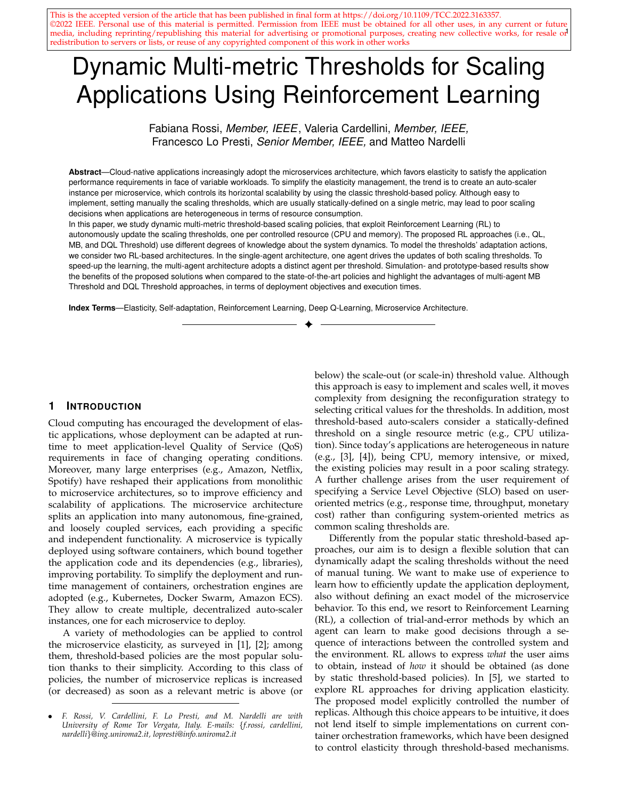TABLE 1 Application performance using different dynamic and multi-metric threshold-based scaling policies. Single-agent (SA) and Multi-agent (MA) architectures are considered, with different model-based and model-free RL solutions for updating the scaling thresholds.

| Architecture | Policy               | Configuration                                     | Average CPU   | Average CPU     | Average Memory | Average Memory  | Median response | $T_{\text{max}}$ violations | Memory violations | Average number |
|--------------|----------------------|---------------------------------------------------|---------------|-----------------|----------------|-----------------|-----------------|-----------------------------|-------------------|----------------|
|              |                      | $\langle W_{\text{perf}}; W_{\text{res}} \rangle$ | threshold (%) | utilization (%) | threshold (%)  | utilization (%) | time (ms)       | (% )                        | (% )              | of replicas    |
| <b>SA</b>    | <b>MB</b> Threshold  | (1:0)                                             | 50.52         | 33.56           | 50.18          | 32.02           | 8.35            | 5.42                        | $\overline{0}$    | 6.85           |
|              |                      | (0.5, 0.5)                                        | 68.60         | 40.07           | 68.71          | 38.25           | 8.43            | 6.60                        |                   | 5.68           |
|              |                      | (0:1)                                             | 89.99         | 50.32           | 89.98          | 48.02           | 9.00            | 14.07                       | 0.07              | 4.48           |
|              | <b>QL Threshold</b>  | $\langle 1, 0 \rangle$                            | 63.75         | 34.85           | 67.43          | 33.27           | 8.36            | 6.22                        |                   | 6.63           |
|              |                      | (0.5, 0.5)                                        | 70.71         | 36.59           | 71.70          | 34.93           | 8.37            | 6.15                        |                   | 6.25           |
|              |                      | (0, 1)                                            | 75.63         | 38.81           | 78.58          | 37.05           | 8.42            | 6.65                        |                   | 5.84           |
|              | <b>DQL Threshold</b> | 1:0                                               | 64.50         | 35.09           | 52.94          | 33.47           | 8.35            | 6.17                        | 0.02              | 6.62           |
|              |                      | (0.5, 0.5)                                        | 86.36         | 41.49           | 86.30          | 39.59           | 8.41            | 10.70                       | 0.05              | 5.64           |
|              |                      | (0, 1)                                            | 85.98         | 48.14           | 87.15          | 45.95           | 8.73            | 12.90                       | 0.05              | 4.71           |
|              | <b>DQL Threshold</b> | $\langle 1, 0 \rangle$                            | 64.04         | 33.71           | 51.08          | 32.17           | 8.35            | 5.50                        | 0                 | 6.83           |
|              | (pre-trained)        | (0.5, 0.5)                                        | 87.99         | 42.69           | 86.67          | 40.76           | 8.50            | 9.65                        | 0.05              | 5.49           |
|              |                      | (0, 1)                                            | 88.71         | 49.75           | 87.45          | 47.47           | 9.00            | 13.32                       | 0.07              | 4.55           |
| MA           | <b>MB Threshold</b>  | $\langle 1, 0 \rangle$                            | 50.10         | 33.58           | 50.01          | 32.04           | 8.35            | 5.67                        | 0                 | 6.85           |
|              |                      | (0.5, 0.5)                                        | 67.23         | 42.43           | 73.90          | 40.50           | 8.54            | 7.22                        |                   | 5.31           |
|              |                      | (0:1)                                             | 89.99         | 50.32           | 89.99          | 48.02           | 9.00            | 14.07                       | 0.07              | 4.48           |
|              | <b>QL Threshold</b>  | $\langle 1, 0 \rangle$                            | 70.38         | 35.43           | 68.52          | 33.82           | 8.36            | 6.05                        |                   | 6.50           |
|              |                      | (0.5, 0.5)                                        | 75.56         | 40.76           | 82.84          | 38.92           | 8.46            | 7.42                        |                   | 5.58           |
|              |                      | (0, 1)                                            | 86.82         | 48.03           | 87.48          | 45.85           | 8.81            | 10.72                       |                   | 4.70           |
|              | <b>DOL Threshold</b> | $\langle 1, 0 \rangle$                            | 52.50         | 33.68           | 52.64          | 32.14           | 8.35            | 5.45                        | $\overline{0}$    | 6.82           |
|              |                      | (0.5, 0.5)                                        | 67.24         | 39.18           | 66.56          | 37.39           | 8.42            | 6.70                        |                   | 5.80           |
|              |                      | (0:1)                                             | 73.71         | 41.62           | 71.26          | 39.72           | 8.51            | 7.75                        | $\overline{0}$    | 5.49           |
|              | <b>DQL Threshold</b> | $\langle 1;0\rangle$                              | 52.20         | 33.67           | 52.62          | 32.12           | 8.35            | 5.55                        | 0                 | 6.83           |
|              | (pre-trained)        | (0.5, 0.5)                                        | 65.07         | 38.00           | 80.03          | 36.29           | 8.41            | 6.95                        |                   | 6.01           |
|              |                      | (0, 1)                                            | 81.92         | 43.52           | 78.42          | 41.55           | 8.53            | 10.05                       | 0.02              | 5.34           |



Fig. 3. Application performance using Multi-agent MB Threshold under different configurations of the immediate cost function.

We consider the SA and MA approaches, each with QL Threshold, MB Threshold, and DQL Threshold. Table 1 summarizes the experimental results. First, we discuss the results obtained with the MA approach. Overall, we can see that the RL-based approaches are flexible and can be tuned to optimize different deployment objectives, as follows from (1). Using an estimated model of the system dynamic, MB Threshold can successfully learn a different scaling threshold update strategy according to the different weight configurations. The effect of the different weights clearly appears by comparing the application performance in Fig. 3. When the cost function penalizes response time violations (i.e., with  $W_{\text{perf}} = 1$ ), the average threshold values are rather close to 50%, which implies more frequent scaleup adaptations and thus a relative high number of replicas with an average number of 6:85 (see Fig. 3a). Since the application is readily scaled, the resulting response time is below  $T_{\text{max}}$  most of the time. When we aim to save resources (i.e.,  $W_{\text{res}} = 1$ ), the microservice  $T_{\text{max}}$  violations grow to 14:07% and the microservice response time registers different response time peaks when the CPU utilization is approaching 75% (see Fig. 3c). In this case, we obtain an average threshold value close to 90%, less frequent scaleups and the resulting average number of replicas decreases to 4:48, corresponding to a 35% reduction of resources consumption. By varying the weights we obtain a wide set of adaption strategies. With equal weights, that is,

 $W_{\text{perf}} = W_{\text{res}} = 0.5$ , we obtain an average CPU and memory threshold value of 67% and 74%, respectively. From Fig. 3b, we can observe that such behavior is needed to meet  $T_{\text{max}}$ requirements and avoid resource wastage.

We now compare MB Threshold against the model-free RL solutions, which obtain, in general, a worse application performance. From Table 1, we can see that QL Threshold frequently updates the scaling thresholds and only slightly differentiates the average threshold value for the various cost configurations. Differently from MB Threshold, it learns a less accurate application model, which results in suboptimal thresholds for the cost function weights  $W_{\text{perf}} = 1$ . This behavior is also partially present in DQL Threshold; nevertheless, thanks to the replay buffer and the target network, the latter can more quickly converge to a stable solution. DQL Threshold learns good scaling thresholds for  $W_{\text{perf}} = 1$  and  $W_{\text{perf}} = W_{\text{res}} = 0.5$ , resulting in  $T_{\text{max}}$ violations and average resource utilization close to those obtained by MB Threshold. When  $W_{res} = 1$ , DQL Threshold slowly learns the threshold update policy. This depends on the Q-function approximation by DQL; in the first half of the experiment, DQL Threshold progressively updates the threshold up to a value ranging between 80% and 90%. This setting results in a slightly higher microservice replication degree and reduced resource utilization with respect to MB Threshold. Although we could pre-train the Q-network to further improve DQL Threshold (mitigating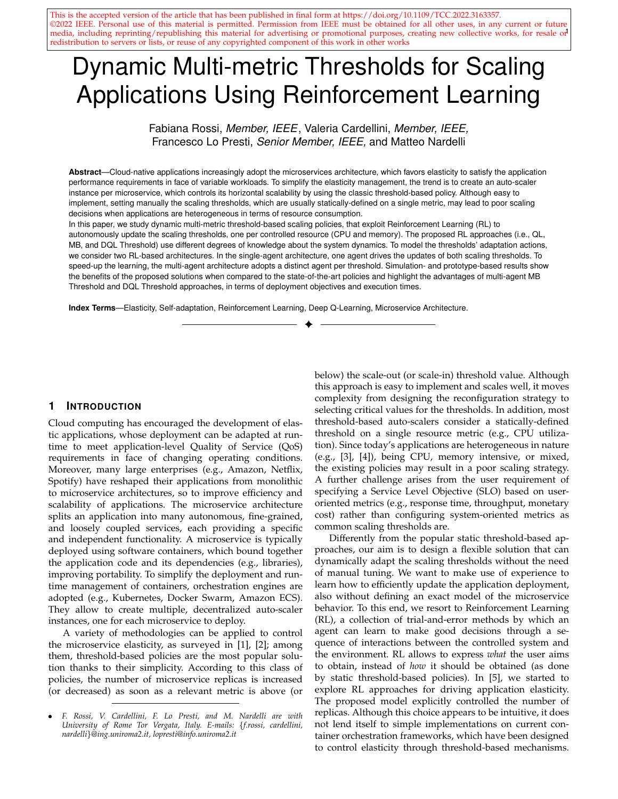

(a) Scale-out threshold values and Q-value update execution time when the SA architecture computes the CPU and memory scaling thresholds.



(b) Scale-out threshold values and Q-value update execution time under the MA architecture, where the  $u$ -agent and  $r$ -agent compute the scaling threshold on CPU and memory utilization, respectively.

Fig. 4. Threshold updates and execution time analysis of the different RL solutions, when the cost functions weights are  $w_{res} = w_{perf} = 0.5$ .

also the initial exploration phase), the obtained results are already remarkable, considering its model-free nature.

#### **5.6 Comparing Single- and Multi-agent Architectures**

The SA and MA architectures use a different model of the system state as well as of the available actions. The SA uses a system model with higher cardinality than MA, with 9801 state configurations and 5 actions instead of 99 and 3, respectively. Also in this case, QL Threshold is the approach that behaves worse than the others, because it needs a lot of samples before learning a good threshold adaptation strategy. During the experiment, it continuously explores the state-action pairs, learning a rather inaccurate system model. Differently from MA, in this case a larger number of configurations should be explored. When the SA uses DQL Threshold or MB Threshold, it learns different threshold update strategies according to the cost function weights, as in the previous section. So we need to delve into the key differences of the two approaches. In Fig. 4, we show the CPU and memory scaling threshold updates for MB Threshold and DQL Threshold as well as the time needed to run the RL agent and update the Q-function (referred to as execution time). We only show the more challenging case having  $W_{\text{perf}} = W_{\text{res}} = 0.5$ . Figure 4a shows that SA DQL Threshold learns scaling thresholds that tend to save resources instead of finding a trade-off with the application requirement satisfaction. This mainly depends on the problem space cardinality, which requires the Q-25. a see a larger number of states of see a larger number of samples before the see a larger number of samples before the see a larger number of samples before the see also the internet of samples before the samples be



Fig. 5. Workload based on Bitbrains Rnd traces.

approximating the Q-function. DQL Threshold has a very limited execution time, which is always below 30 ms. Conversely, MB Threshold computes a better threshold update policy for both CPU and memory utilization. Nevertheless, the complexity of this approach clearly appears by looking at its execution time in Fig. 4a.

With the MA architecture, each RL agent can more easily learn a good adaptation policy, since it has to explore a reduced number of state-action pairs. As shown in Fig. 4b, DQL Threshold and MB Threshold set the threshold at around the 50% of the scale-out threshold range, identifying a good trade-off between  $T_{\text{max}}$  violations and average resource utilization. MB Threshold uses a more accurate system model, so it changes less often the thresholds (see Table 1). Figure 4b shows how the MA architecture drastically drops the execution time of MB Threshold, which is now even lower than the execution time by DQL Threshold.

#### **5.7 Microservices with Different Critical Resource**

The proposed scaling policies adapt the deployment of microservices having different type of critical resource.

#### *5.7.1 Bitbrains Workload*

In this experiment, we benchmark the proposed dynamic threshold policies using the Rnd dataset from the GWA-T-12 Bitbrains workload trace [46]. Bitbrains is a service provider specialized in managed hosting and business computation for enterprises. The Rnd dataset consists of the resource usages of virtual machines used by the application services hosted within the Bitbrains data center. We accordingly amplified the dataset to further stress our microservices, obtaining the workload in Fig. 5. Differently from the previous experiments, in this case the application is mostly memorydemanding. Fig. 6 shows the threshold update during the experiment for the SA and MA architectures for the cost configuration  $W_{\text{res}} = W_{\text{perf}} = 0.5$ . Also in this case, MA performs better than SA, allowing the RL agent to more quickly learn the threshold update policy. We observe that MA leads to a lower scaling threshold on memory usage, because it learns that memory is the bottleneck resource. By setting the memory threshold on average on 68% and 67% respectively, MB and DQL Threshold lead to similar application performance, resulting in 5 microservice replicas and a 0.02% of  $T_{\text{max}}$  and memory demand violations.

### *5.7.2 CPU and Memory Intensive Workloads*

We now consider two types of synthetic workload, each with a different dominant resource request (see Fig. 7). Table 2 summarizes the experimental results. Also in this case, MA performs better that SA, and the MA with MB Threshold performs slightly better than DQL Threshold, allowing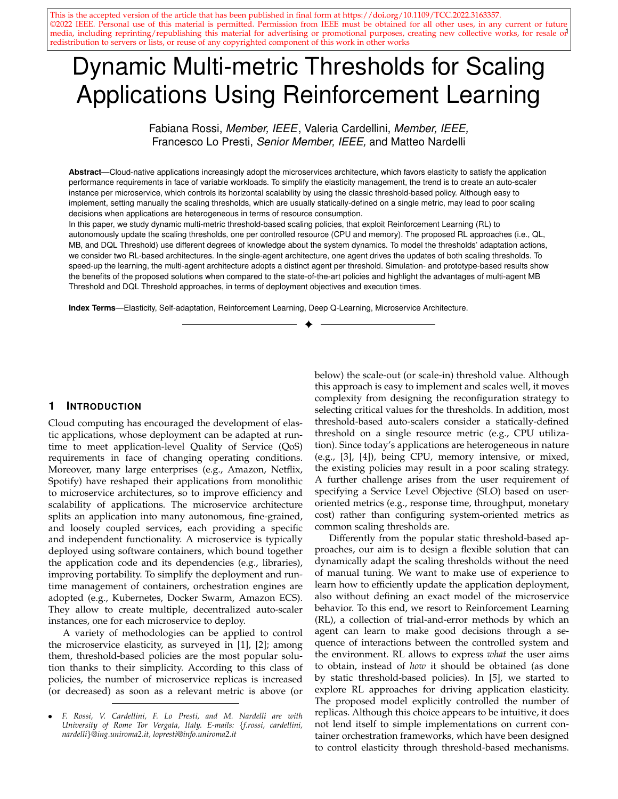TABLE<sub>2</sub>

Application performance for the synthetic CPU-intensive and memory-intensive workloads, using MA with different scaling policies.

| Workload             | Policy               | Configuration                                      | Average CPU   | Average CPU     | Average Memory | Average Memory  | Median response | $T_{\rm max}$ violations | Memory violations | Average number |
|----------------------|----------------------|----------------------------------------------------|---------------|-----------------|----------------|-----------------|-----------------|--------------------------|-------------------|----------------|
|                      |                      | $\langle W_{\text{perf}}   W_{\text{res}} \rangle$ | threshold (%) | utilization (%) | threshold (%)  | utilization (%) | time (ms)       | (% )                     | $(\% )$           | of replicas    |
| <b>CPU-intensive</b> | <b>MB Threshold</b>  | 1, 0                                               | 50.01         | 36.20           | 50.10          | 8.69            | 8.43            | 1.42                     |                   | 5.71           |
|                      |                      | (0.5, 0.5)                                         | 67.94         | 42.46           | 89.99          | 10.19           | 8.74            | 2.12                     |                   | 4.93           |
|                      |                      | (0.1                                               | 89.99         | 56.26           | 89.99          | 13.50           | 10.75           | 35.17                    |                   | 3.75           |
|                      | <b>DOL Threshold</b> | $\langle 1, 0 \rangle$                             | 52.32         | 36.20           | 52.59          | 8.69            | 8.43            | 1.42                     |                   | 5.71           |
|                      |                      | (0.5, 0.5)                                         | 64.66         | 39.23           | 66.12          | 9.41            | 8.47            | 2.87                     |                   | 5.42           |
|                      |                      | $\langle 0;1$                                      | 73.41         | 45.77           | 74.14          | 10.98           | 8.74            | 12.60                    |                   | 4.64           |
| Mem-intensive        | <b>MB Threshold</b>  | $\langle 1, 0 \rangle$                             | 50.01         | 9.03            | 50.01          | 32.50           | 8.33            |                          |                   | 5.04           |
|                      |                      | (0.5, 0.5)                                         | 87.55         | 11.18           | 86.56          | 40.24           | 8.34            |                          |                   | 4.03           |
|                      |                      | (0, 1)                                             | 89.99         | 15.17           | 89.99          | 54.61           | 8.36            | 0.07                     | 0.17              | 3.26           |
|                      | <b>DOL Threshold</b> | $\langle 1, 0 \rangle$                             | 52.54         | 9.03            | 52.66          | 32.50           | 8.33            |                          |                   | 5.04           |
|                      |                      | (0.5, 0.5)                                         | 64.35         | 10.43           | 67.24          | 37.56           | 8.33            |                          |                   | 4.34           |
|                      |                      | (0, 1)                                             | 71.82         | 11.23           | 73.65          | 40.43           | 8.34            |                          |                   | 4.03           |
|                      | $u$ -agent           |                                                    |               |                 |                |                 |                 |                          |                   |                |
|                      | <b>MB Threshold</b>  | (1,0)                                              | 50.01         | 25.95           |                | 93.43           | 9.29            | 10.07                    | 46.01             | 1.81           |



(a) Threshold values when the SA solution computes the CPU and memory scaling thresholds.



Fig. 6. Threshold updates for the Bitbrains Rnd workload, when the cost function weights are  $w_{\text{res}} = w_{\text{perf}} = 0.5$ .



Fig. 7. Synthetic workloads with different pattern of resource request.

the RL agent to more quickly learn a suitable threshold adaptation policy. We first discuss the CPU intensive workload considering the most challenging cost configuration, i.e.,  $W_{\text{res}} = W_{\text{perf}} = 0.5$  (Fig. 7a). MB Threshold quickly identifies the CPU as the critical resource, so it sets a lower scaling threshold for CPU than for memory (respectively 67:94% and 89:99%, on average). The memory is not the bottleneck resource and, although it would encourage scale-in actions, the CPU utilization actually drives the microservice adaptation. We observe a similar performance also for DQL Threshold. On average, DQL Threshold results in a slightly higher number of microservice replicas than MB Threshold, due to the different memory threshold average value. Moreover, it also changes the thresholds more frequently.

When we consider the memory intensive workload (Fig. 7b), we expect that a scaling policy that only takes into account CPU resources would be unable to successfully adapt the application deployment. As an example, we run the MA with MB Threshold by disabling the r-agent (i.e., with only the  $u$ -agent that considers CPU) and by setting  $W_{\text{perf}} = 1$  in the cost function. Although the agent uses a scale-out threshold on 50% of CPU utilization, scaling actions are rarely triggered, resulting in 46% memory demand violations. Conversely, the proposed multi-metric solutions (i.e., MB and DQL Threshold) can correctly react to CPU and memory demand changes. When  $W_{\text{perf}} = 1$ , both MB and DQL Threshold result in no memory violations using, on average, 5:04 microservice replicas. Also for this workload, the MB approach succeeds in improving the threshold update strategy, especially when the cost function requires to save resources (i.e.,  $W_{\text{res}} = 1$ ).

#### **5.8 Discussion**

We extensively evaluated the proposed RL-based threshold update strategies using two different architectures: SA and MA. First, we showed the flexibility provided by a RL-based solution for updating the scaling thresholds. By correctly defining the relative importance of the deployment objectives through the cost function weights in (1), the RL-agent can accordingly learn a suitable threshold update strategy. Second, we showed that a model-based RL approach takes advantage of the system model to estimate the effect of performing an action in a given state. Although this allows to boost the learning phase, defining the model is not a trivial task and, when multiple metrics are considered, it can penalize the execution time. To overcome this issue, we proposed the MA architecture, which shows good performance at a reduced Q-function update execution time (due to the smaller state-action pairs cardinality). Our experiments showed that MA with MB Threshold is the best strategy for controlling dynamic multi-metric thresholds. Since determining the system model can be challenging, we also explored a DQL-based approach. Although we do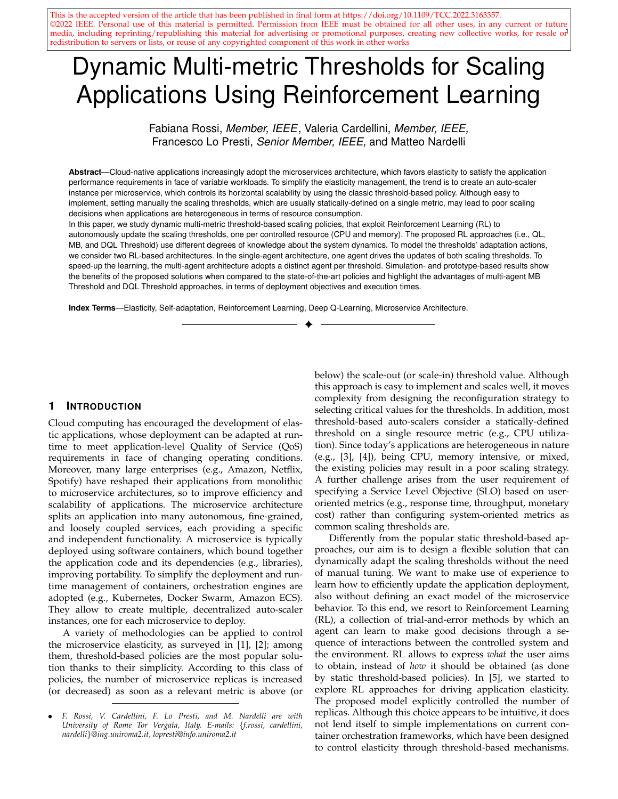not need to define the system model, DQL introduces the effort of defining the Q-network architecture, which is an empirical process and may require a large number of trialand-error repetitions. Note that we adopted two different network architectures for SA and MA. We showed that DQL Threshold outperforms QL Threshold and achieves performance close to MB Threshold, especially when we pre-train the Q-network. To conclude, we showed that the proposed approaches correctly perform under different application workloads (i.e., CPU-intensive, memory-intensive, mixed).

# **6 PROTOTYPE-BASED EXPERIMENTS**

We evaluate the proposed scaling policies in a real environment. First, we present the basic concepts of Kubernetes and of the custom scaling policies integration into it. Second, we present three state-of-the-art scaling policies against which we compare our own. Then, we evaluate our policies with CPU- and memory-intensive microservices.

#### **6.1 Integration into Kubernetes**

Kubernetes is an open-source orchestration platform that simplifies the deployment, management, and execution of containerized applications. A pod is the smallest deployment unit in Kubernetes. It consists of one or more tightly coupled containers that are co-located and scaled as an atomic entity. Each application microservice is deployed using a pod. Kubernetes allows to configure each pod with specific resource requests and limits. A resource request is the minimum amount of (CPU and memory) resources needed by the pod. A resource limit is the maximum amount of resources that can be assigned to the pod.

To integrate new deployment policies in Kubernetes, we provide a custom auto-scaler that follows a MAPE control loop [47]. At each loop iteration, our auto-scaler monitors the environment and the controlled microservice; then, it analyzes application-level and system-level metrics; accordingly, it plans the scaling actions which are then executed using the Kubernetes APIs. The different scaling policies implement the planning phase of the MAPE control loop. Updating the thresholds does not restart containers. Then, the auto-scaler adds or removes containers based on CPU and memory usage by the service. Scaling-out operations do not affect the microservice's instances currently running.

#### **6.2 Benchmark Policies**

**Horizontal Pod Autoscaler.** Kubernetes includes the Horizontal Pod Autoscaler (HPA), which relies on CPU utilization to horizontally scale a single microservice deployment [48]. HPA monitors the CPU utilization of the microservice pods. It scales the number of pods according to the ratio between the observed value and the target value of CPU utilization. Recently, Kubernetes provides a beta API to autoscale deployment on multiple observed metrics (e.g., CPU and memory utilization). After evaluating each metric individually, HPA uses the most critical one to take scaling decisions. HPA relies only on static thresholds.

**HyScale.** HyScale [7] combines horizontal and vertical scaling to adapt the microservice deployment. It adjusts the CPU and memory limit of each pod, aiming to make resource utilization as close as possible to the target one. HyScale gives priority to vertical scaling and performs horizontal scaling only if the required amount of resources cannot be acquired otherwise. HyScale plans scaling actions by using target utilization values (similarly to HPA).

**Horovitz et al.** Horovitz et al. [8] propose a model-free Q-learning approach to dynamically adapt the CPU scaling thresholds. It uses the number of microservice replicas as state and the threshold update as action. An additional data structure is required for mapping each state to the last exploited threshold value. Differently from our approach, the proposed solution also uses an additional heuristic to determine whether to update and activate the RL agent.

## **6.3 Experimental Setup**

We run the experiments on a cluster of 5 virtual machines of the Google Cloud Platform; each virtual machine has 2 vCPUs and 4 GB of RAM (type: e2-medium).

To evaluate our dynamic threshold scaling policies, we consider two microservices: *Pi* and *Word-count*. They are RESTful web services, implemented in Python using Flask. Pi is a CPU-intensive service: upon request, a Monte Carlo algorithm approximates after placing 1000 random points in a unit square. Word-count is a memory-intensive microservice: for each sentence received as request, the service extracts its words and returns the updated word count. The counter keeps track of the word occurrences received in the last seconds. Each word-count pair is kept in memory. We deploy each service instance using a pod with 500 millicore (i.e., 0:5 vCPU) and 256 MB of RAM.

We parametrize the RL-based policies as in Section 5.4. The Pi service requires its response time to be below  $T_{\text{max}} = 150 \text{ ms}$  and sets the scale-in threshold to 20% of CPU and memory utilization. Word-count requires  $T_{\text{max}} = 100$ ms and we use a count window of  $= 120$  s. For Wordcount, we set the scale-in thresholds of CPU and memory utilization to 20% and 35%, respectively. The latter threshold accounts for the service's baseline memory footprint. We compute the application response time as the average request completion time over a tumbling window of 10 s.

#### **6.4 Scaling Policies Evaluation**

In this section, we show the benefits of multiple scaling thresholds when heterogeneous microservices are deployed using Kubernetes. We do not present QL Threshold due to space limits; however, it does not improve its performance over the other solutions (see Section 5.3). For the RL-based solutions, we consider the most challenging set of weights  $W_{\text{perf}} = W_{\text{res}} = 0.5$ . In HyScale, the CPU and memory limit ranges in the interval [0:25; 1] vCPU and [100; 1024] MB, respectively. Table 3 summarizes the experimental results.

**CPU-intensive Microservice: Pi.** The microservice receives a workload that follows the NYC Taxi Ride trace [45], accordingly amplified and accelerated so to further stress the service resource requirements, as shown in Fig. 8. When the SA architecture is considered, MB Threshold deploys on average 2:26 instances, setting the CPU scaling threshold to 75:96%. Being Pi a CPU-intensive microservice, we register a memory utilization that is, on average, below the scale-in threshold. As a consequence, the CPU utilization actually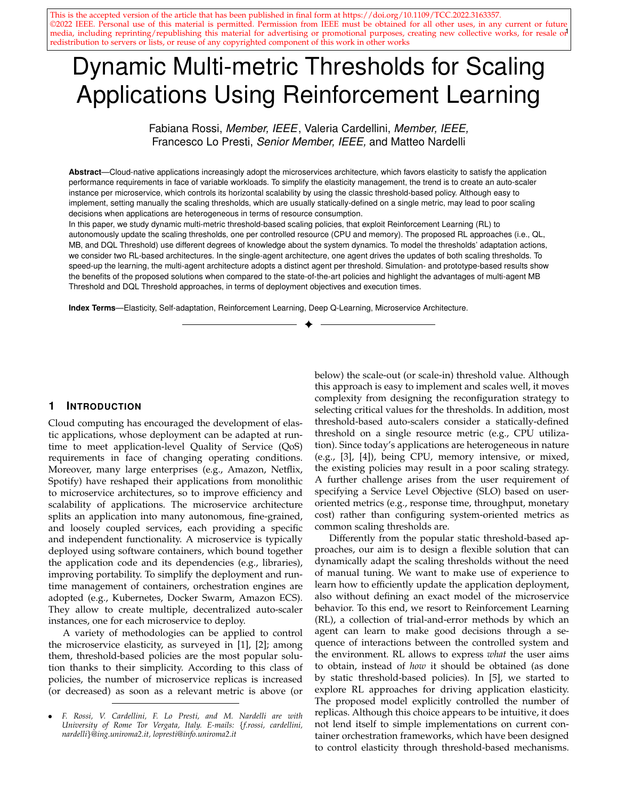TABLE 3

Prototype-based experiments: Application performance with different threshold-based scaling policies and applications.

| Application | Architecture | Policy               | Average CPU   | Average CPU     | Average Memory | Average Memory  | Average Share | Median response | $T_{\text{max}}$ violations | Memory violations | Average number |
|-------------|--------------|----------------------|---------------|-----------------|----------------|-----------------|---------------|-----------------|-----------------------------|-------------------|----------------|
|             |              |                      | threshold (%) | utilization (%) | threshold (%)  | utilization (%) | CPU/Mem (MB)  | time (ms)       | (% )                        | (% )              | of replicas    |
| Pi          | <b>SA</b>    | <b>MB Threshold</b>  | 75.96         | 43.35           | 76.00          | 15.59           |               | 90.38           | 6.92                        |                   | 2.26           |
|             |              | <b>DQL Threshold</b> | 83.05         | 48.93           | 67.92          | 18.43           |               | 75.24           | 8.81                        |                   | 1.70           |
|             |              | <b>DQL Threshold</b> | 89.09         | 49.30           | 88.80          | 15.69           |               | 85.14           | 9.43                        |                   | 1.74           |
|             |              | (pre-trained)        |               |                 |                |                 |               |                 |                             |                   |                |
|             | MA           | <b>MB Threshold</b>  | 79.27         | 47.66           | 89.94          | 15.25           |               | 73.66           | 8.99                        | $\Omega$          | 1.98           |
|             |              | <b>DQL Threshold</b> | 52.58         | 34.30           | 52.75          | 14.77           |               | 66.81           | 1.12                        |                   | 2.79           |
|             |              | <b>DQL Threshold</b> | 72.78         | 42.29           | 82.61          | 15.09           |               | 76.47           | 5.56                        |                   | 2.12           |
|             |              | (pre-trained)        |               |                 |                |                 |               |                 |                             |                   |                |
|             |              | <b>HPA 80/80</b>     | 80.00         | 49.94           | 80.00          | 15.48           |               | 82.12           | 9.59                        |                   | 1.56           |
|             |              | HPA 70/70            | 70.00         | 47.75           | 70.00          | 17.53           |               | 72.57           | 6.03                        |                   | 1.61           |
|             |              | HPA 60/60            | 60.00         | 43.37           | 60.00          | 14.87           |               | 70.05           | 5.46                        |                   | 1.70           |
|             |              | HyScale 80/80        | 80.00         | 63.09           | 80.00          | 37.27           | 0.388/100     | 115.28          | 47.56                       | $\Omega$          | 1.00           |
|             |              | HyScale 70/70        | 70.00         | 58.46           | 70.00          | 35.81           | 0.440/100     | 82.86           | 35.00                       |                   | 1.02           |
|             |              | HyScale 60/60        | 60.00         | 53.49           | 60.00          | 36.15           | 0.511/100     | 72.42           | 26.76                       |                   | 1.11           |
|             | $\sim$       | Horovitz et al.      | 57.20         | 34.21           | $\sim$         | 15.99           |               | 12.19           | 1.51                        | $\Omega$          | 2.68           |
| Word-count  | <b>SA</b>    | <b>MB Threshold</b>  | 78.83         | 26.64           | 78.71          | 52.93           |               | 6.56            | 5.65                        | $\Omega$          | 2.69           |
|             |              | <b>DQL Threshold</b> | 76.35         | 33.88           | 84.29          | 50.83           |               | 8.02            | 14.18                       | 0.71              | 2.52           |
|             |              | <b>DQL Threshold</b> | 88.25         | 42.13           | 88.59          | 59.20           |               | 17.11           | 21.25                       | 0.63              | 1.64           |
|             |              | (pre-trained)        |               |                 |                |                 |               |                 |                             |                   |                |
|             | MA           | <b>MB</b> Threshold  | 78.06         | 27.96           | 73.41          | 53.51           |               | 6.35            | 8.24                        | $\Omega$          | 2.56           |
|             |              | <b>DQL Threshold</b> | 52.38         | 21.94           | 52.86          | 44.54           |               | 6.29            | 4.76                        |                   | 3.40           |
|             |              | <b>DQL Threshold</b> | 68.68         | 31.08           | 71.67          | 53.13           |               | 7.68            | 11.49                       | $\Omega$          | 2.31           |
|             |              | (pre-trained)        |               |                 |                |                 |               |                 |                             |                   |                |
|             |              | <b>HPA 80/80</b>     | 80.00         | 47.01           | 80.00          | 53.03           |               | 30.47           | 30.29                       | $\Omega$          | 1.20           |
|             |              | <b>HPA 70/70</b>     | 70.00         | 28.04           | 70.00          | 55.58           |               | 6.81            | 4.29                        |                   | 2.23           |
|             |              | HPA 60/60            | 60.00         | 25.33           | 60.00          | 47.14           |               | 5.91            | 1.42                        |                   | 2.61           |
|             |              | HyScale 80/80        | 80.00         | 51.51           | 80.00          | 40.97           | 0.303/200     | 35.95           | 29.07                       | $\Omega$          | 1.00           |
|             |              | HyScale 70/70        | 70.00         | 49.96           | 70.00          | 39.59           | 0.352/201     | 32.88           | 25.00                       |                   | 1.00           |
|             |              | HyScale 60/60        | 60.00         | 46.16           | 60.00          | 37.03           | 0.314/200     | 42.26           | 32.56                       |                   | 1.00           |
|             |              | Horovitz et al.      | 58.68         | 34.34           |                | 59.17           |               | 8.67            | 9.37                        | 1.56              | 1.72           |



Fig. 8. Workload used for the Pi service.



(a) Scale-out threshold values with a single-agent solution.



(b) Scale-out threshold values with the multi-agent solution.

Fig. 9. Threshold updates for the Pi service, when the cost function weights are  $w_{\text{perf}} = w_{\text{res}} = 0.50$ .

drives the microservice adaptation although the memory encourages scale-in actions. When DQL Threshold is considered, we observe a slightly worse performance. DQL Threshold learns an adaptation policy that prefers to save resources instead of finding a trade-off between application performance and resource utilization. It uses on average 1:70 replicas, registering 8:81% of  $T_{\text{max}}$  violations. To mitigates the initial exploration of the *tabula rasa* approaches (as by MB and DQL Threshold solutions), we could pre-train the Q-network of DQL. However, we do not observe significant performance improvement. This happens because of the complexity of the SA architecture combined with the model-free nature of DQL. We now consider the MA architecture. As shown in Fig. 9, the MB approach succeeds identifying the CPU as the bottleneck resource. So, it sets a lower scaling threshold for CPU than for memory. MB Threshold identifies an adaptation policy that runs the microservice using, on average, 1:98 instances with an average CPU utilization of 47:66%. Conversely, DQL Threshold is not able to find a suitable trade-off between performance degradation and resource wastage at run-time. Setting on average the thresholds to 53%, DQL Threshold deploys a higher number of deployed replicas with a low 34:30% of CPU utilization. We need to pre-train the Q-network to improve the performance of DQL Threshold (see Table 3).

We now compare our results against the policies described in Section 6.2. HPA and HyScale are applicationunaware and require to manually set the thresholds on CPU and memory utilization. In HPA, changing the CPU scaling threshold affects the microservice performance: the number of T*max* violations decreases from 9:59% to 5:46% when setting the threshold from 80% to 60%; the average number of microservices replicas increases from 1:56 to 1:70. Differently from the previous policies, HPA does not immediately react to load variations, but allows a limited time interval before performing the scaling. HPA uses a simple strategy, which however moves the complexity on the threshold definition. It can obtain valid scaling strategies, but we need to manually tuning its parameters, and explore the effect of the different thresholds (see Table 3). HyScale extends HPA preferring vertical to horizontal scaling. HyScale sets the memory share to 100 MB, the minimum value for memory limit, which is reasonable being Pi CPU-intensive. When the CPU scaling threshold is increased from 60% to 80%, the average CPU utilization increases from 53:49% to 63:09%, which is obtained by decreasing the average CPU share of pods from 510 to 388 millicore. The other policies can only assign multiple of 500 millicore. Although improving uti-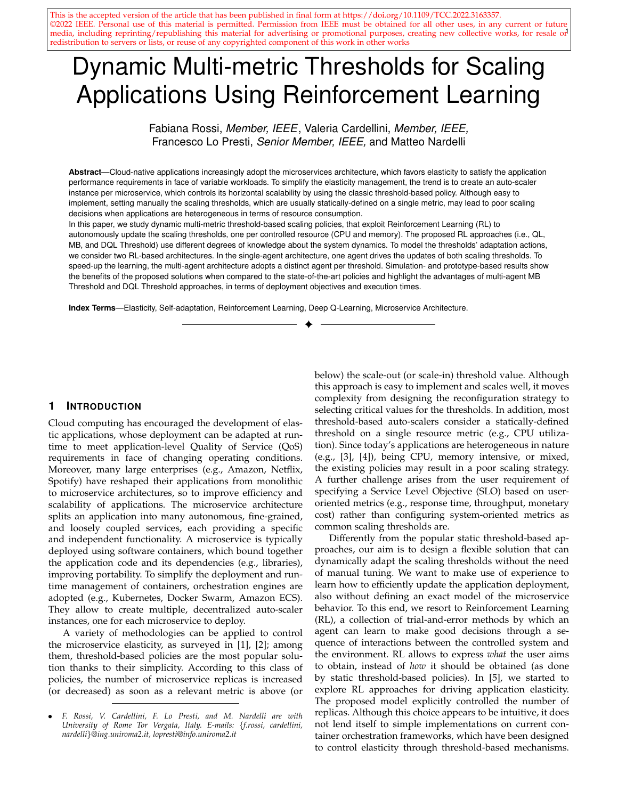

Fig. 10. Workload used for the Word-count service.



Fig. 11. Word-count: Service performance using Kubernetes HPA and setting to 80% the memory and CPU scaling thresholds.

lization is desirable, HyScale results in a very high number of T*max* violations (even with 60% as CPU threshold). This is also due to the high number of vertical scaling operations performed (63% of the time). To implement vertical scaling, Kubernetes gradually creates pods with the new configuration and deletes the old ones; in this stage, the application availability decreases. Differently from HPA and HyScale, our policies can automatically learn how to set and update the scaling thresholds, according to the desirable deployment goals. Dynamic thresholds have been proposed also by Horovitz et al.; their solution uses Q-leaning to update the CPU scaling threshold and avoid T*max* violations. Table 3 shows that this policy meets the target response time at the cost of a very low average CPU utilization (on average, 34:21%) and a high number of pods (on average, 2:68). This policy computes a very low CPU scaling threshold (57:20, on average), which mainly results from the update heuristic that activated the RL agent only 7:58% of the time during the experiment. Conversely, our policy can be tuned, as in this experiment, so to limit response time violations while avoiding resource under-utilization. Importantly, we do not define custom update rules, but we rely on pure learning approaches, where the agent itself learns how to configure the thresholds by exploiting experience and an approximated system model.

**Memory-intensive Microservice: Word-count.** The workload's request pattern for the Word-count microservice is shown in Fig. 10. From Table 3, we observe that higher values of memory utilization emphasize the memory-intensive nature of this service. Note also that, although the threshold values are, on average, quite similar, the monitored CPU utilization is, on average, significantly lower than the threshold. Hence, for Word-count it is the memory utilization that drives the deployment adaptation by triggering scale-out actions. When the SA architecture is adopted, MB Threshold



Fig. 12. Threshold updates for the Word-count service when the cost function weights are  $w_{\text{perf}} = w_{\text{res}} = 0.50$ .

identifies an adaptation policy that runs the microservice using, on average, 2:36 replicas and achieves an average CPU and memory utilization of 30:40% and 53:94%, respectively. Fig. 12a shows that DQL Threshold cannot efficiently update the scale-out thresholds, whose values range from 50% to 90%. Pre-training the Q-Network does not lead to a significant improvement, due to the challenging learning task required by the SA architecture. Conversely, the MA architecture simplifies the learning task, resorting to two RL agents (i.e., *u*-agent and *r*-agent) that operate on a reduced size space. This leads to an overall performance improvement. Differently from Pi, Word-count requires to carefully monitor both CPU and memory (compare Fig. 12 against Fig. 9): each request is served by a service thread leading to both memory and CPU usage increment as the number of requests increases as well. As shown in Table 3, also in this case, MB Threshold learns a better adaptation strategy. On average, it sets the memory and CPU scaling thresholds to 77:15% and 78:02%, respectively. DQL Threshold slowly learns how to adapt the scaling threshold, resulting on an average threshold value of 53% for both CPU and memory. This results in a higher number of service replicas (on average, 3:40 pods are deployed instead of 2:56). In this case, pre-training the Q-network clearly improves the DQL Threshold behavior, which can quickly identify the memory as the bottleneck resource (see Fig. 12b). Determining static thresholds for Word-count using HPA is more challenging than for Pi. Table 3 shows that small changes on the scale-out thresholds lead to very different application performance. When HPA uses the CPU and memory scale-out thresholds set to 80%, it deploys 1:20 replicas on average and registers a CPU and memory utilization of 47% and 53%, respectively. However, as shown in Fig. 11, the memory is often overutilized and, as a consequence, the service is continuously restarted due to out-of-memory exceptions. By setting the thresholds to 70% or 60%, the application achieves better performance; nonetheless, we might still perform a finer